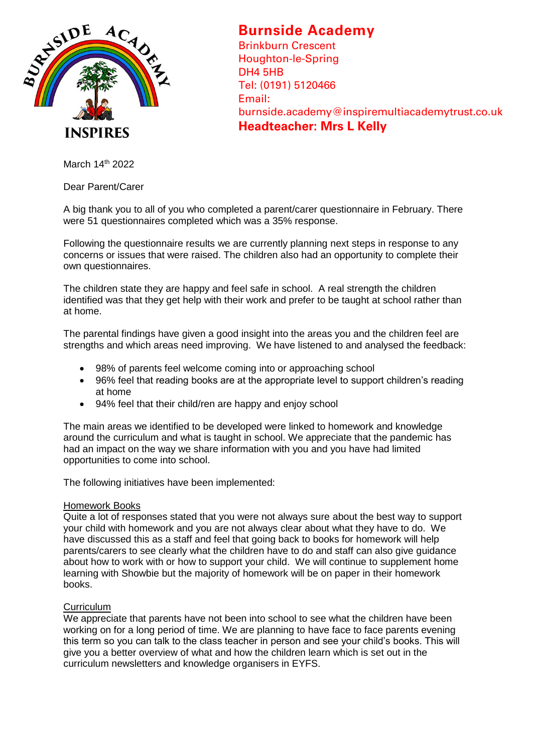

## **Burnside Academy**

Brinkburn Crescent Houghton-le-Spring DH4 5HB Tel: (0191) 5120466 Email: burnside.academy@inspiremultiacademytrust.co.uk **Headteacher: Mrs L Kelly**

March 14th 2022

Dear Parent/Carer

A big thank you to all of you who completed a parent/carer questionnaire in February. There were 51 questionnaires completed which was a 35% response.

Following the questionnaire results we are currently planning next steps in response to any concerns or issues that were raised. The children also had an opportunity to complete their own questionnaires.

The children state they are happy and feel safe in school. A real strength the children identified was that they get help with their work and prefer to be taught at school rather than at home.

The parental findings have given a good insight into the areas you and the children feel are strengths and which areas need improving. We have listened to and analysed the feedback:

- 98% of parents feel welcome coming into or approaching school
- 96% feel that reading books are at the appropriate level to support children's reading at home
- 94% feel that their child/ren are happy and enjoy school

The main areas we identified to be developed were linked to homework and knowledge around the curriculum and what is taught in school. We appreciate that the pandemic has had an impact on the way we share information with you and you have had limited opportunities to come into school.

The following initiatives have been implemented:

## Homework Books

Quite a lot of responses stated that you were not always sure about the best way to support your child with homework and you are not always clear about what they have to do. We have discussed this as a staff and feel that going back to books for homework will help parents/carers to see clearly what the children have to do and staff can also give guidance about how to work with or how to support your child. We will continue to supplement home learning with Showbie but the majority of homework will be on paper in their homework books.

## **Curriculum**

We appreciate that parents have not been into school to see what the children have been working on for a long period of time. We are planning to have face to face parents evening this term so you can talk to the class teacher in person and see your child's books. This will give you a better overview of what and how the children learn which is set out in the curriculum newsletters and knowledge organisers in EYFS.